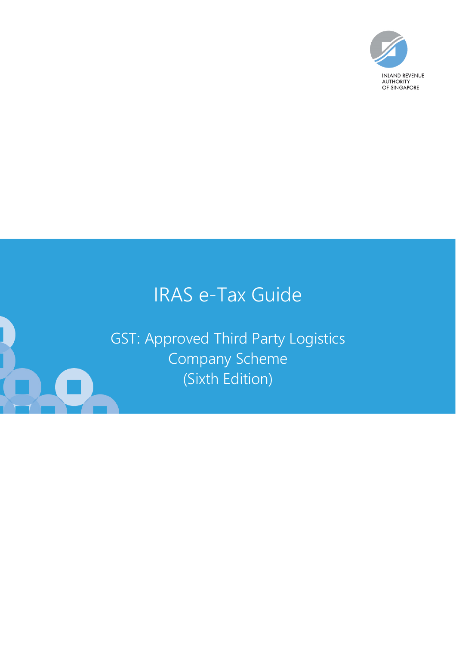

# IRAS e-Tax Guide

GST: Approved Third Party Logistics Company Scheme (Sixth Edition)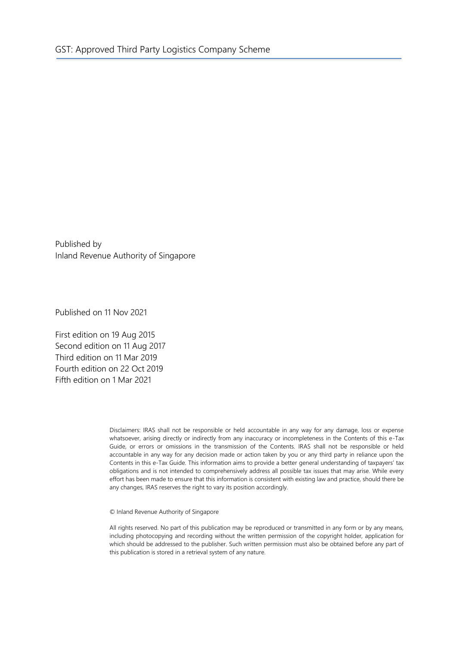Published by Inland Revenue Authority of Singapore

Published on 11 Nov 2021

First edition on 19 Aug 2015 Second edition on 11 Aug 2017 Third edition on 11 Mar 2019 Fourth edition on 22 Oct 2019 Fifth edition on 1 Mar 2021

> Disclaimers: IRAS shall not be responsible or held accountable in any way for any damage, loss or expense whatsoever, arising directly or indirectly from any inaccuracy or incompleteness in the Contents of this e-Tax Guide, or errors or omissions in the transmission of the Contents. IRAS shall not be responsible or held accountable in any way for any decision made or action taken by you or any third party in reliance upon the Contents in this e-Tax Guide. This information aims to provide a better general understanding of taxpayers' tax obligations and is not intended to comprehensively address all possible tax issues that may arise. While every effort has been made to ensure that this information is consistent with existing law and practice, should there be any changes, IRAS reserves the right to vary its position accordingly.

© Inland Revenue Authority of Singapore

All rights reserved. No part of this publication may be reproduced or transmitted in any form or by any means, including photocopying and recording without the written permission of the copyright holder, application for which should be addressed to the publisher. Such written permission must also be obtained before any part of this publication is stored in a retrieval system of any nature.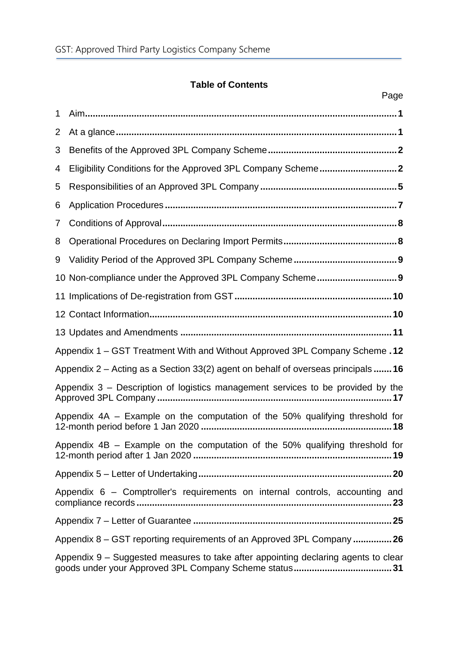# **Table of Contents**

|   | Page                                                                                |
|---|-------------------------------------------------------------------------------------|
| 1 |                                                                                     |
| 2 |                                                                                     |
| 3 |                                                                                     |
| 4 |                                                                                     |
| 5 |                                                                                     |
| 6 |                                                                                     |
| 7 |                                                                                     |
| 8 |                                                                                     |
| 9 |                                                                                     |
|   |                                                                                     |
|   |                                                                                     |
|   |                                                                                     |
|   |                                                                                     |
|   | Appendix 1 – GST Treatment With and Without Approved 3PL Company Scheme .12         |
|   | Appendix $2$ – Acting as a Section 33(2) agent on behalf of overseas principals  16 |
|   | Appendix 3 – Description of logistics management services to be provided by the     |
|   | Appendix 4A – Example on the computation of the 50% qualifying threshold for        |
|   | Appendix 4B – Example on the computation of the 50% qualifying threshold for        |
|   |                                                                                     |
|   | Appendix 6 – Comptroller's requirements on internal controls, accounting and        |
|   |                                                                                     |
|   | Appendix 8 – GST reporting requirements of an Approved 3PL Company  26              |
|   | Appendix 9 – Suggested measures to take after appointing declaring agents to clear  |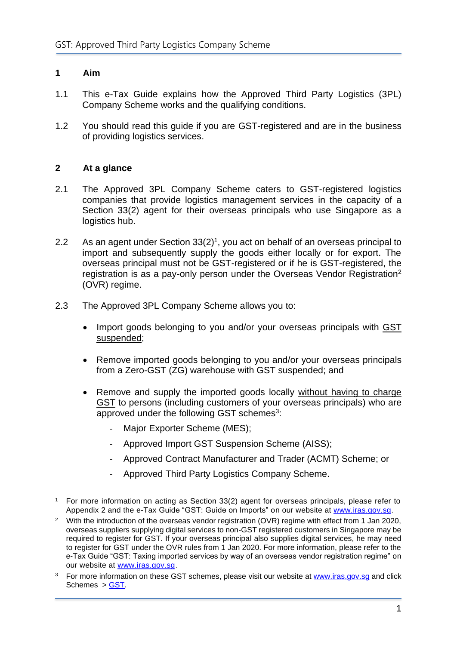## <span id="page-3-0"></span>**1 Aim**

- 1.1 This e-Tax Guide explains how the Approved Third Party Logistics (3PL) Company Scheme works and the qualifying conditions.
- 1.2 You should read this guide if you are GST-registered and are in the business of providing logistics services.

#### <span id="page-3-1"></span>**2 At a glance**

- 2.1 The Approved 3PL Company Scheme caters to GST-registered logistics companies that provide logistics management services in the capacity of a Section 33(2) agent for their overseas principals who use Singapore as a logistics hub.
- 2.2 As an agent under Section  $33(2)^1$ , you act on behalf of an overseas principal to import and subsequently supply the goods either locally or for export. The overseas principal must not be GST-registered or if he is GST-registered, the registration is as a pay-only person under the Overseas Vendor Registration<sup>2</sup> (OVR) regime.
- 2.3 The Approved 3PL Company Scheme allows you to:
	- Import goods belonging to you and/or your overseas principals with GST suspended;
	- Remove imported goods belonging to you and/or your overseas principals from a Zero-GST (ZG) warehouse with GST suspended; and
	- Remove and supply the imported goods locally without having to charge GST to persons (including customers of your overseas principals) who are approved under the following GST schemes<sup>3</sup>:
		- Major Exporter Scheme (MES);
		- Approved Import GST Suspension Scheme (AISS);
		- Approved Contract Manufacturer and Trader (ACMT) Scheme; or
		- Approved Third Party Logistics Company Scheme.

<sup>1</sup> For more information on acting as Section 33(2) agent for overseas principals, please refer to Appendix 2 and the e-Tax Guide "GST: Guide on Imports" on our website at [www.iras.gov.sg.](http://www.iras.gov.sg/)

<sup>&</sup>lt;sup>2</sup> With the introduction of the overseas vendor registration (OVR) regime with effect from 1 Jan 2020, overseas suppliers supplying digital services to non-GST registered customers in Singapore may be required to register for GST. If your overseas principal also supplies digital services, he may need to register for GST under the OVR rules from 1 Jan 2020. For more information, please refer to the e-Tax Guide "GST: Taxing imported services by way of an overseas vendor registration regime" on our website at [www.iras.gov.sg.](http://www.iras.gov.sg/)

<sup>&</sup>lt;sup>3</sup> For more information on these GST schemes, please visit our website at [www.iras.gov.sg](http://www.iras.gov.sg/) and click Schemes > [GST.](https://ppp.iras.gov.sg/taxes/goods-services-tax-%28gst%29)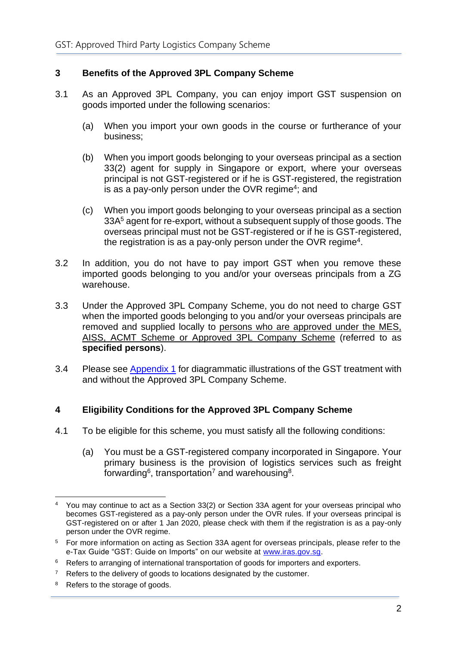# <span id="page-4-0"></span>**3 Benefits of the Approved 3PL Company Scheme**

- 3.1 As an Approved 3PL Company, you can enjoy import GST suspension on goods imported under the following scenarios:
	- (a) When you import your own goods in the course or furtherance of your business;
	- (b) When you import goods belonging to your overseas principal as a section 33(2) agent for supply in Singapore or export, where your overseas principal is not GST-registered or if he is GST-registered, the registration is as a pay-only person under the OVR regime<sup>4</sup>; and
	- (c) When you import goods belonging to your overseas principal as a section 33A<sup>5</sup> agent for re-export, without a subsequent supply of those goods. The overseas principal must not be GST-registered or if he is GST-registered, the registration is as a pay-only person under the OVR regime<sup>[4](#page-4-2)</sup>.
- <span id="page-4-2"></span>3.2 In addition, you do not have to pay import GST when you remove these imported goods belonging to you and/or your overseas principals from a ZG warehouse.
- 3.3 Under the Approved 3PL Company Scheme, you do not need to charge GST when the imported goods belonging to you and/or your overseas principals are removed and supplied locally to persons who are approved under the MES, AISS, ACMT Scheme or Approved 3PL Company Scheme (referred to as **specified persons**).
- 3.4 Please see [Appendix 1](#page-14-0) for diagrammatic illustrations of the GST treatment with and without the Approved 3PL Company Scheme.

# <span id="page-4-1"></span>**4 Eligibility Conditions for the Approved 3PL Company Scheme**

- 4.1 To be eligible for this scheme, you must satisfy all the following conditions:
	- (a) You must be a GST-registered company incorporated in Singapore. Your primary business is the provision of logistics services such as freight forwarding<sup>6</sup>, transportation<sup>7</sup> and warehousing<sup>8</sup>.

<sup>4</sup> You may continue to act as a Section 33(2) or Section 33A agent for your overseas principal who becomes GST-registered as a pay-only person under the OVR rules. If your overseas principal is GST-registered on or after 1 Jan 2020, please check with them if the registration is as a pay-only person under the OVR regime.

<sup>5</sup> For more information on acting as Section 33A agent for overseas principals, please refer to the e-Tax Guide "GST: Guide on Imports" on our website at [www.iras.gov.sg.](http://www.iras.gov.sg/)

<sup>&</sup>lt;sup>6</sup> Refers to arranging of international transportation of goods for importers and exporters.

<sup>&</sup>lt;sup>7</sup> Refers to the delivery of goods to locations designated by the customer.

<sup>&</sup>lt;sup>8</sup> Refers to the storage of goods.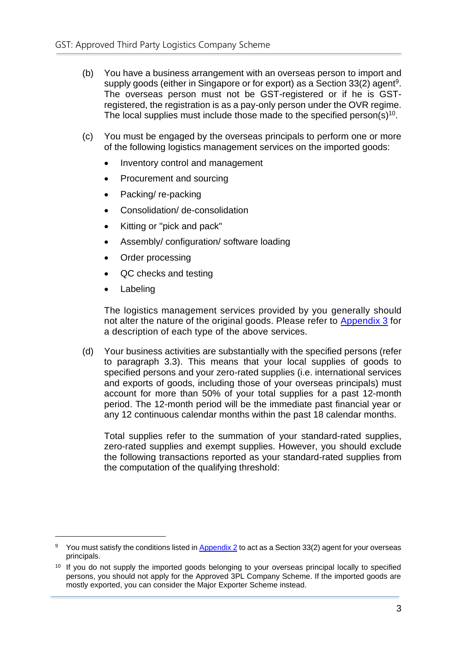- (b) You have a business arrangement with an overseas person to import and supply goods (either in Singapore or for export) as a Section 33(2) agent<sup>9</sup>. The overseas person must not be GST-registered or if he is GSTregistered, the registration is as a pay-only person under the OVR regime. The local supplies must include those made to the specified person(s)<sup>10</sup>.
- (c) You must be engaged by the overseas principals to perform one or more of the following logistics management services on the imported goods:
	- Inventory control and management
	- Procurement and sourcing
	- Packing/ re-packing
	- Consolidation/ de-consolidation
	- Kitting or "pick and pack"
	- Assembly/ configuration/ software loading
	- Order processing
	- QC checks and testing
	- Labeling

The logistics management services provided by you generally should not alter the nature of the original goods. Please refer to [Appendix 3](#page-19-0) for a description of each type of the above services.

(d) Your business activities are substantially with the specified persons (refer to paragraph 3.3). This means that your local supplies of goods to specified persons and your zero-rated supplies (i.e. international services and exports of goods, including those of your overseas principals) must account for more than 50% of your total supplies for a past 12-month period. The 12-month period will be the immediate past financial year or any 12 continuous calendar months within the past 18 calendar months.

Total supplies refer to the summation of your standard-rated supplies, zero-rated supplies and exempt supplies. However, you should exclude the following transactions reported as your standard-rated supplies from the computation of the qualifying threshold:

<sup>&</sup>lt;sup>9</sup> You must satisfy the conditions listed in [Appendix 2](#page-18-0) to act as a Section 33(2) agent for your overseas principals.

<sup>&</sup>lt;sup>10</sup> If you do not supply the imported goods belonging to your overseas principal locally to specified persons, you should not apply for the Approved 3PL Company Scheme. If the imported goods are mostly exported, you can consider the Major Exporter Scheme instead.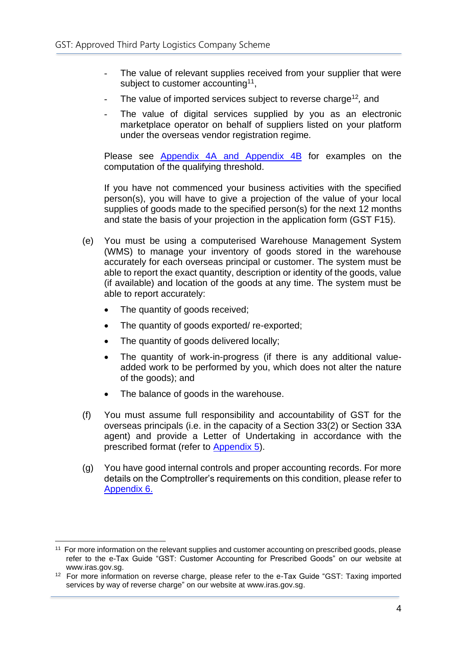- The value of relevant supplies received from your supplier that were subject to customer accounting<sup>11</sup>,
- The value of imported services subject to reverse charge<sup>12</sup>, and
- The value of digital services supplied by you as an electronic marketplace operator on behalf of suppliers listed on your platform under the overseas vendor registration regime*.*

Please see [Appendix 4A](#page-20-0) and [Appendix 4B](#page-21-0) for examples on the computation of the qualifying threshold.

If you have not commenced your business activities with the specified person(s), you will have to give a projection of the value of your local supplies of goods made to the specified person(s) for the next 12 months and state the basis of your projection in the application form (GST F15).

- (e) You must be using a computerised Warehouse Management System (WMS) to manage your inventory of goods stored in the warehouse accurately for each overseas principal or customer. The system must be able to report the exact quantity, description or identity of the goods, value (if available) and location of the goods at any time. The system must be able to report accurately:
	- The quantity of goods received;
	- The quantity of goods exported/ re-exported;
	- The quantity of goods delivered locally;
	- The quantity of work-in-progress (if there is any additional valueadded work to be performed by you, which does not alter the nature of the goods); and
	- The balance of goods in the warehouse.
- (f) You must assume full responsibility and accountability of GST for the overseas principals (i.e. in the capacity of a Section 33(2) or Section 33A agent) and provide a Letter of Undertaking in accordance with the prescribed format (refer to [Appendix](#page-22-0) 5).
- (g) You have good internal controls and proper accounting records. For more details on the Comptroller's requirements on this condition, please refer to [Appendix 6.](#page-25-0)

<sup>&</sup>lt;sup>11</sup> For more information on the relevant supplies and customer accounting on prescribed goods, please refer to the e-Tax Guide "GST: Customer Accounting for Prescribed Goods" on our website at www.iras.gov.sg.

<sup>&</sup>lt;sup>12</sup> For more information on reverse charge, please refer to the e-Tax Guide "GST: Taxing imported [services by way of reverse charge"](https://www.iras.gov.sg/irashome/uploadedFiles/IRASHome/e-Tax_Guides/etaxguide_GST_Taxing%20imported%20services%20by%20way%20of%20reverse%20charge.pdf) on our website at www.iras.gov.sg.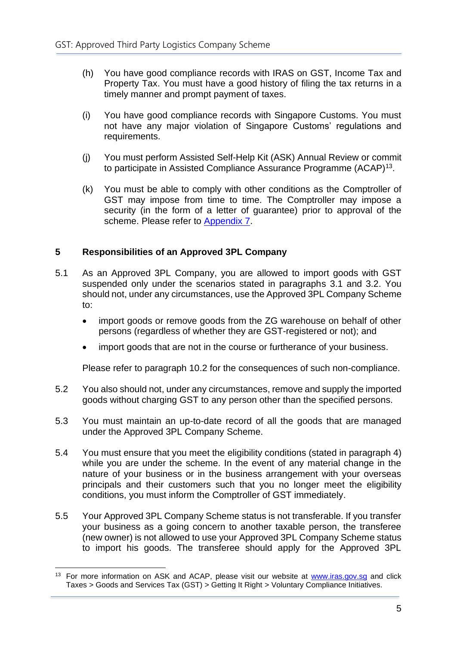- (h) You have good compliance records with IRAS on GST, Income Tax and Property Tax. You must have a good history of filing the tax returns in a timely manner and prompt payment of taxes.
- (i) You have good compliance records with Singapore Customs. You must not have any major violation of Singapore Customs' regulations and requirements.
- (j) You must perform Assisted Self-Help Kit (ASK) Annual Review or commit to participate in Assisted Compliance Assurance Programme (ACAP)<sup>13</sup>.
- (k) You must be able to comply with other conditions as the Comptroller of GST may impose from time to time. The Comptroller may impose a security (in the form of a letter of guarantee) prior to approval of the scheme. Please refer to [Appendix 7.](#page-26-0)

# <span id="page-7-0"></span>**5 Responsibilities of an Approved 3PL Company**

- 5.1 As an Approved 3PL Company, you are allowed to import goods with GST suspended only under the scenarios stated in paragraphs 3.1 and 3.2. You should not, under any circumstances, use the Approved 3PL Company Scheme to:
	- import goods or remove goods from the ZG warehouse on behalf of other persons (regardless of whether they are GST-registered or not); and
	- import goods that are not in the course or furtherance of your business.

Please refer to paragraph 10.2 for the consequences of such non-compliance.

- 5.2 You also should not, under any circumstances, remove and supply the imported goods without charging GST to any person other than the specified persons.
- 5.3 You must maintain an up-to-date record of all the goods that are managed under the Approved 3PL Company Scheme.
- 5.4 You must ensure that you meet the eligibility conditions (stated in paragraph 4) while you are under the scheme. In the event of any material change in the nature of your business or in the business arrangement with your overseas principals and their customers such that you no longer meet the eligibility conditions, you must inform the Comptroller of GST immediately.
- 5.5 Your Approved 3PL Company Scheme status is not transferable. If you transfer your business as a going concern to another taxable person, the transferee (new owner) is not allowed to use your Approved 3PL Company Scheme status to import his goods. The transferee should apply for the Approved 3PL

<sup>&</sup>lt;sup>13</sup> For more information on ASK and ACAP, please visit our website at www.iras.gov.sg and click Taxes > Goods and Services Tax (GST) > Getting It Right > Voluntary Compliance Initiatives.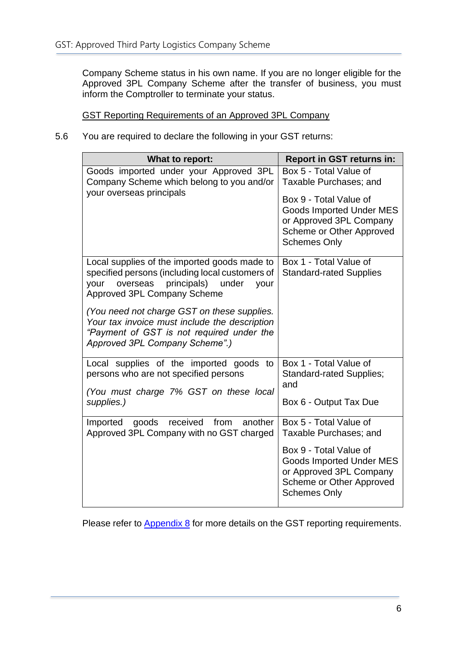Company Scheme status in his own name. If you are no longer eligible for the Approved 3PL Company Scheme after the transfer of business, you must inform the Comptroller to terminate your status.

GST Reporting Requirements of an Approved 3PL Company

5.6 You are required to declare the following in your GST returns:

| What to report:                                                                                                                                                                                                                                                                                                                                             | <b>Report in GST returns in:</b>                                                                                                                                                            |
|-------------------------------------------------------------------------------------------------------------------------------------------------------------------------------------------------------------------------------------------------------------------------------------------------------------------------------------------------------------|---------------------------------------------------------------------------------------------------------------------------------------------------------------------------------------------|
| Goods imported under your Approved 3PL<br>Company Scheme which belong to you and/or<br>your overseas principals                                                                                                                                                                                                                                             | Box 5 - Total Value of<br>Taxable Purchases; and<br>Box 9 - Total Value of<br><b>Goods Imported Under MES</b><br>or Approved 3PL Company<br>Scheme or Other Approved<br><b>Schemes Only</b> |
| Local supplies of the imported goods made to<br>specified persons (including local customers of<br>overseas principals) under<br>your<br>your<br>Approved 3PL Company Scheme<br>(You need not charge GST on these supplies.<br>Your tax invoice must include the description<br>"Payment of GST is not required under the<br>Approved 3PL Company Scheme".) | Box 1 - Total Value of<br><b>Standard-rated Supplies</b>                                                                                                                                    |
| Local supplies of the imported goods to<br>persons who are not specified persons<br>(You must charge 7% GST on these local<br>supplies.)                                                                                                                                                                                                                    | Box 1 - Total Value of<br><b>Standard-rated Supplies;</b><br>and<br>Box 6 - Output Tax Due                                                                                                  |
| received<br>from<br>another<br>goods<br>Imported<br>Approved 3PL Company with no GST charged                                                                                                                                                                                                                                                                | Box 5 - Total Value of<br>Taxable Purchases; and<br>Box 9 - Total Value of<br><b>Goods Imported Under MES</b><br>or Approved 3PL Company<br>Scheme or Other Approved<br><b>Schemes Only</b> |

Please refer to [Appendix 8](#page-28-0) for more details on the GST reporting requirements.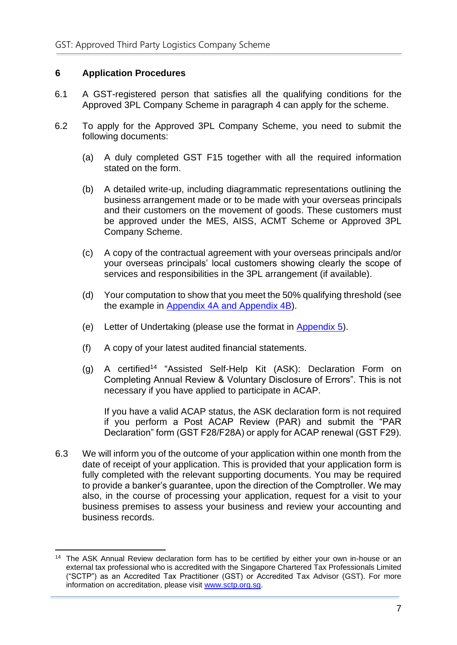## <span id="page-9-0"></span>**6 Application Procedures**

- 6.1 A GST-registered person that satisfies all the qualifying conditions for the Approved 3PL Company Scheme in paragraph 4 can apply for the scheme.
- 6.2 To apply for the Approved 3PL Company Scheme, you need to submit the following documents:
	- (a) A duly completed GST F15 together with all the required information stated on the form.
	- (b) A detailed write-up, including diagrammatic representations outlining the business arrangement made or to be made with your overseas principals and their customers on the movement of goods. These customers must be approved under the MES, AISS, ACMT Scheme or Approved 3PL Company Scheme.
	- (c) A copy of the contractual agreement with your overseas principals and/or your overseas principals' local customers showing clearly the scope of services and responsibilities in the 3PL arrangement (if available).
	- (d) Your computation to show that you meet the 50% qualifying threshold (see the example in [Appendix](#page-20-0) 4A and [Appendix 4B\)](#page-21-0).
	- (e) Letter of Undertaking (please use the format in [Appendix 5\)](#page-22-0).
	- (f) A copy of your latest audited financial statements.
	- (g) A certified<sup>14</sup> "Assisted Self-Help Kit (ASK): Declaration Form on Completing Annual Review & Voluntary Disclosure of Errors". This is not necessary if you have applied to participate in ACAP.

If you have a valid ACAP status, the ASK declaration form is not required if you perform a Post ACAP Review (PAR) and submit the "PAR Declaration" form (GST F28/F28A) or apply for ACAP renewal (GST F29).

6.3 We will inform you of the outcome of your application within one month from the date of receipt of your application. This is provided that your application form is fully completed with the relevant supporting documents. You may be required to provide a banker's guarantee, upon the direction of the Comptroller. We may also, in the course of processing your application, request for a visit to your business premises to assess your business and review your accounting and business records.

<sup>&</sup>lt;sup>14</sup> The ASK Annual Review declaration form has to be certified by either your own in-house or an external tax professional who is accredited with the Singapore Chartered Tax Professionals Limited ("SCTP") as an Accredited Tax Practitioner (GST) or Accredited Tax Advisor (GST). For more information on accreditation, please visit [www.sctp.org.sg.](http://www.sctp.org.sg/)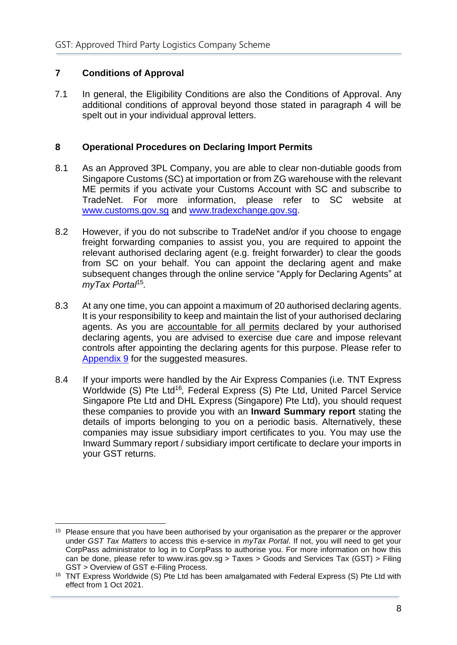# <span id="page-10-0"></span>**7 Conditions of Approval**

7.1 In general, the Eligibility Conditions are also the Conditions of Approval. Any additional conditions of approval beyond those stated in paragraph 4 will be spelt out in your individual approval letters.

#### <span id="page-10-1"></span>**8 Operational Procedures on Declaring Import Permits**

- 8.1 As an Approved 3PL Company, you are able to clear non-dutiable goods from Singapore Customs (SC) at importation or from ZG warehouse with the relevant ME permits if you activate your Customs Account with SC and subscribe to TradeNet. For more information, please refer to SC website at [www.customs.gov.sg](http://www.customs.gov.sg/) and [www.tradexchange.gov.sg.](https://www.tradexchange.gov.sg/)
- 8.2 However, if you do not subscribe to TradeNet and/or if you choose to engage freight forwarding companies to assist you, you are required to appoint the relevant authorised declaring agent (e.g. freight forwarder) to clear the goods from SC on your behalf. You can appoint the declaring agent and make subsequent changes through the online service "Apply for Declaring Agents" at *myTax Portal*<sup>15</sup> *.*
- 8.3 At any one time, you can appoint a maximum of 20 authorised declaring agents. It is your responsibility to keep and maintain the list of your authorised declaring agents. As you are accountable for all permits declared by your authorised declaring agents, you are advised to exercise due care and impose relevant controls after appointing the declaring agents for this purpose. Please refer to [Appendix](#page-33-0) 9 for the suggested measures.
- 8.4 If your imports were handled by the Air Express Companies (i.e. TNT Express Worldwide (S) Pte Ltd<sup>16</sup>, Federal Express (S) Pte Ltd, United Parcel Service Singapore Pte Ltd and DHL Express (Singapore) Pte Ltd), you should request these companies to provide you with an **Inward Summary report** stating the details of imports belonging to you on a periodic basis. Alternatively, these companies may issue subsidiary import certificates to you. You may use the Inward Summary report / subsidiary import certificate to declare your imports in your GST returns.

<sup>&</sup>lt;sup>15</sup> Please ensure that you have been authorised by your organisation as the preparer or the approver under *GST Tax Matters* to access this e-service in *myTax Portal*. If not, you will need to get your CorpPass administrator to log in to CorpPass to authorise you. For more information on how this can be done, please refer to www.iras.gov.sg > Taxes > Goods and Services Tax (GST) > Filing GST > Overview of GST e-Filing Process.

<sup>&</sup>lt;sup>16</sup> TNT Express Worldwide (S) Pte Ltd has been amalgamated with Federal Express (S) Pte Ltd with effect from 1 Oct 2021.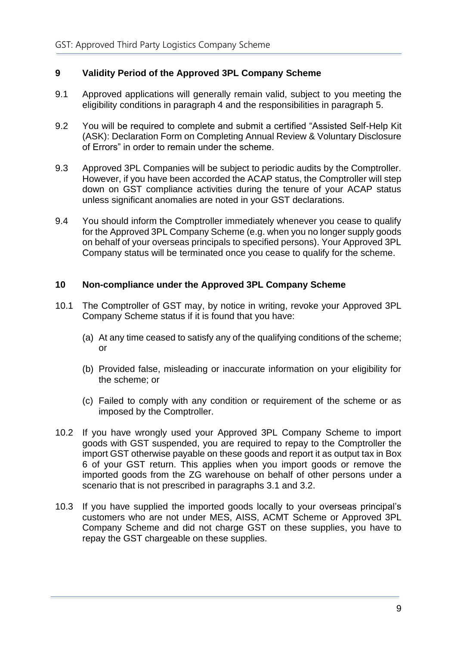# <span id="page-11-0"></span>**9 Validity Period of the Approved 3PL Company Scheme**

- 9.1 Approved applications will generally remain valid, subject to you meeting the eligibility conditions in paragraph 4 and the responsibilities in paragraph 5.
- 9.2 You will be required to complete and submit a certified "Assisted Self-Help Kit (ASK): Declaration Form on Completing Annual Review & Voluntary Disclosure of Errors" in order to remain under the scheme.
- 9.3 Approved 3PL Companies will be subject to periodic audits by the Comptroller. However, if you have been accorded the ACAP status, the Comptroller will step down on GST compliance activities during the tenure of your ACAP status unless significant anomalies are noted in your GST declarations.
- 9.4 You should inform the Comptroller immediately whenever you cease to qualify for the Approved 3PL Company Scheme (e.g. when you no longer supply goods on behalf of your overseas principals to specified persons). Your Approved 3PL Company status will be terminated once you cease to qualify for the scheme.

# <span id="page-11-1"></span>**10 Non-compliance under the Approved 3PL Company Scheme**

- 10.1 The Comptroller of GST may, by notice in writing, revoke your Approved 3PL Company Scheme status if it is found that you have:
	- (a) At any time ceased to satisfy any of the qualifying conditions of the scheme; or
	- (b) Provided false, misleading or inaccurate information on your eligibility for the scheme; or
	- (c) Failed to comply with any condition or requirement of the scheme or as imposed by the Comptroller.
- 10.2 If you have wrongly used your Approved 3PL Company Scheme to import goods with GST suspended, you are required to repay to the Comptroller the import GST otherwise payable on these goods and report it as output tax in Box 6 of your GST return. This applies when you import goods or remove the imported goods from the ZG warehouse on behalf of other persons under a scenario that is not prescribed in paragraphs 3.1 and 3.2.
- 10.3 If you have supplied the imported goods locally to your overseas principal's customers who are not under MES, AISS, ACMT Scheme or Approved 3PL Company Scheme and did not charge GST on these supplies, you have to repay the GST chargeable on these supplies.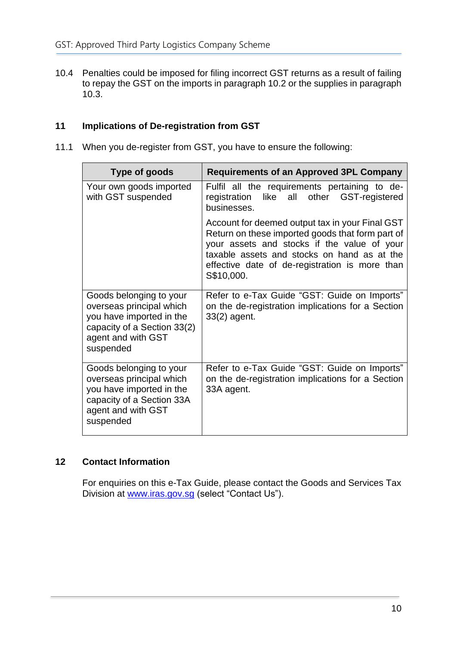10.4 Penalties could be imposed for filing incorrect GST returns as a result of failing to repay the GST on the imports in paragraph 10.2 or the supplies in paragraph 10.3.

# <span id="page-12-0"></span>**11 Implications of De-registration from GST**

11.1 When you de-register from GST, you have to ensure the following:

| Type of goods                                                                                                                                     | <b>Requirements of an Approved 3PL Company</b>                                                                                                                                                                                                                    |
|---------------------------------------------------------------------------------------------------------------------------------------------------|-------------------------------------------------------------------------------------------------------------------------------------------------------------------------------------------------------------------------------------------------------------------|
| Your own goods imported<br>with GST suspended                                                                                                     | Fulfil all the requirements pertaining to de-<br>registration like all other GST-registered<br>businesses.                                                                                                                                                        |
|                                                                                                                                                   | Account for deemed output tax in your Final GST<br>Return on these imported goods that form part of<br>your assets and stocks if the value of your<br>taxable assets and stocks on hand as at the<br>effective date of de-registration is more than<br>S\$10,000. |
| Goods belonging to your<br>overseas principal which<br>you have imported in the<br>capacity of a Section 33(2)<br>agent and with GST<br>suspended | Refer to e-Tax Guide "GST: Guide on Imports"<br>on the de-registration implications for a Section<br>33(2) agent.                                                                                                                                                 |
| Goods belonging to your<br>overseas principal which<br>you have imported in the<br>capacity of a Section 33A<br>agent and with GST<br>suspended   | Refer to e-Tax Guide "GST: Guide on Imports"<br>on the de-registration implications for a Section<br>33A agent.                                                                                                                                                   |

# <span id="page-12-1"></span>**12 Contact Information**

For enquiries on this e-Tax Guide, please contact the Goods and Services Tax Division at [www.iras.gov.sg](http://www.iras.gov.sg/) (select "Contact Us").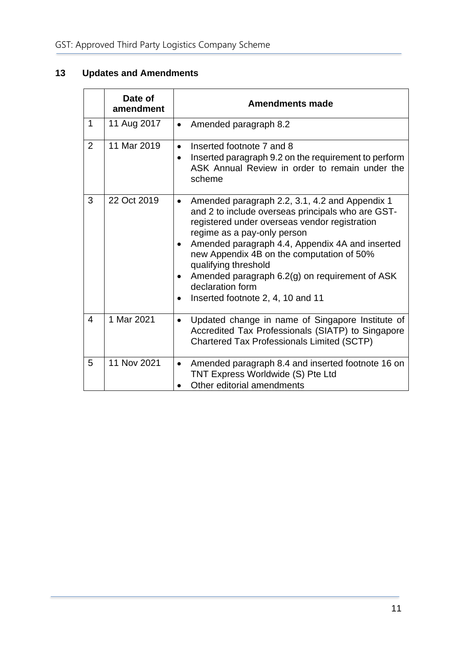# <span id="page-13-0"></span>**13 Updates and Amendments**

|                | Date of<br>amendment | <b>Amendments made</b>                                                                                                                                                                                                                                                                                                                                                                                                                                |
|----------------|----------------------|-------------------------------------------------------------------------------------------------------------------------------------------------------------------------------------------------------------------------------------------------------------------------------------------------------------------------------------------------------------------------------------------------------------------------------------------------------|
| $\mathbf 1$    | 11 Aug 2017          | Amended paragraph 8.2<br>$\bullet$                                                                                                                                                                                                                                                                                                                                                                                                                    |
| $\overline{2}$ | 11 Mar 2019          | Inserted footnote 7 and 8<br>$\bullet$<br>Inserted paragraph 9.2 on the requirement to perform<br>ASK Annual Review in order to remain under the<br>scheme                                                                                                                                                                                                                                                                                            |
| 3              | 22 Oct 2019          | Amended paragraph 2.2, 3.1, 4.2 and Appendix 1<br>$\bullet$<br>and 2 to include overseas principals who are GST-<br>registered under overseas vendor registration<br>regime as a pay-only person<br>Amended paragraph 4.4, Appendix 4A and inserted<br>$\bullet$<br>new Appendix 4B on the computation of 50%<br>qualifying threshold<br>Amended paragraph 6.2(g) on requirement of ASK<br>٠<br>declaration form<br>Inserted footnote 2, 4, 10 and 11 |
| 4              | 1 Mar 2021           | Updated change in name of Singapore Institute of<br>$\bullet$<br>Accredited Tax Professionals (SIATP) to Singapore<br><b>Chartered Tax Professionals Limited (SCTP)</b>                                                                                                                                                                                                                                                                               |
| 5              | 11 Nov 2021          | Amended paragraph 8.4 and inserted footnote 16 on<br>$\bullet$<br>TNT Express Worldwide (S) Pte Ltd<br>Other editorial amendments                                                                                                                                                                                                                                                                                                                     |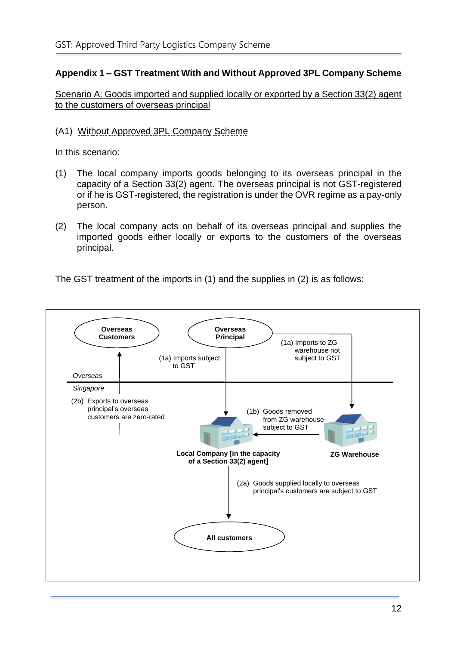# <span id="page-14-0"></span>**Appendix 1 – GST Treatment With and Without Approved 3PL Company Scheme**

Scenario A: Goods imported and supplied locally or exported by a Section 33(2) agent to the customers of overseas principal

#### (A1) Without Approved 3PL Company Scheme

In this scenario:

- (1) The local company imports goods belonging to its overseas principal in the capacity of a Section 33(2) agent. The overseas principal is not GST-registered or if he is GST-registered, the registration is under the OVR regime as a pay-only person.
- (2) The local company acts on behalf of its overseas principal and supplies the imported goods either locally or exports to the customers of the overseas principal.

The GST treatment of the imports in (1) and the supplies in (2) is as follows:

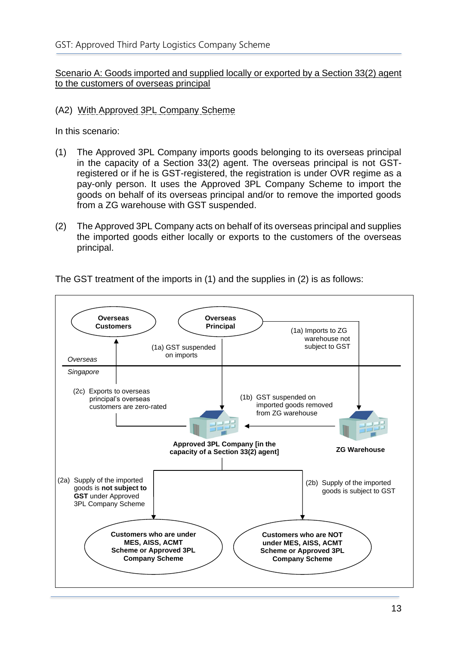Scenario A: Goods imported and supplied locally or exported by a Section 33(2) agent to the customers of overseas principal

## (A2) With Approved 3PL Company Scheme

In this scenario:

- (1) The Approved 3PL Company imports goods belonging to its overseas principal in the capacity of a Section 33(2) agent. The overseas principal is not GSTregistered or if he is GST-registered, the registration is under OVR regime as a pay-only person. It uses the Approved 3PL Company Scheme to import the goods on behalf of its overseas principal and/or to remove the imported goods from a ZG warehouse with GST suspended.
- (2) The Approved 3PL Company acts on behalf of its overseas principal and supplies the imported goods either locally or exports to the customers of the overseas principal.



The GST treatment of the imports in (1) and the supplies in (2) is as follows: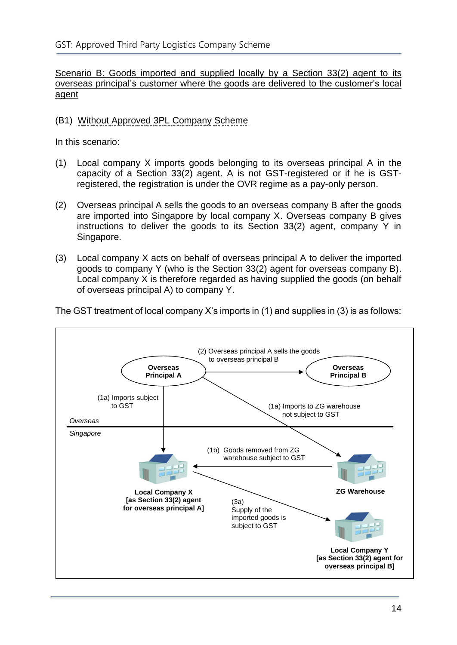Scenario B: Goods imported and supplied locally by a Section 33(2) agent to its overseas principal's customer where the goods are delivered to the customer's local agent

# (B1) Without Approved 3PL Company Scheme

In this scenario:

- (1) Local company X imports goods belonging to its overseas principal A in the capacity of a Section 33(2) agent. A is not GST-registered or if he is GSTregistered, the registration is under the OVR regime as a pay-only person.
- (2) Overseas principal A sells the goods to an overseas company B after the goods are imported into Singapore by local company X. Overseas company B gives instructions to deliver the goods to its Section 33(2) agent, company Y in Singapore.
- (3) Local company X acts on behalf of overseas principal A to deliver the imported goods to company Y (who is the Section 33(2) agent for overseas company B). Local company X is therefore regarded as having supplied the goods (on behalf of overseas principal A) to company Y.



The GST treatment of local company X's imports in (1) and supplies in (3) is as follows: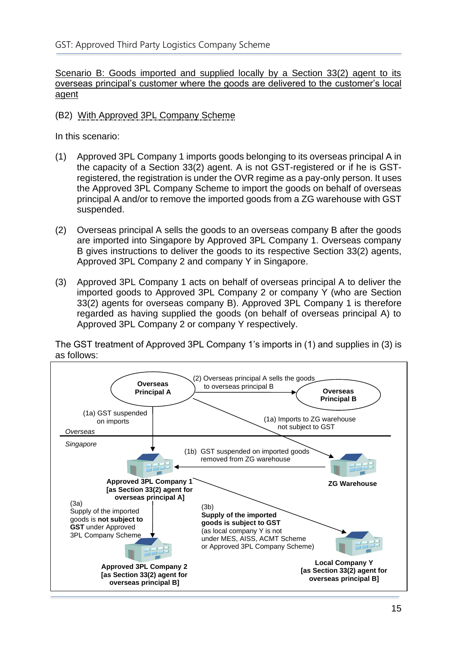#### Scenario B: Goods imported and supplied locally by a Section 33(2) agent to its overseas principal's customer where the goods are delivered to the customer's local agent

#### (B2) With Approved 3PL Company Scheme

In this scenario:

- (1) Approved 3PL Company 1 imports goods belonging to its overseas principal A in the capacity of a Section 33(2) agent. A is not GST-registered or if he is GSTregistered, the registration is under the OVR regime as a pay-only person. It uses the Approved 3PL Company Scheme to import the goods on behalf of overseas principal A and/or to remove the imported goods from a ZG warehouse with GST suspended.
- (2) Overseas principal A sells the goods to an overseas company B after the goods are imported into Singapore by Approved 3PL Company 1. Overseas company B gives instructions to deliver the goods to its respective Section 33(2) agents, Approved 3PL Company 2 and company Y in Singapore.
- (3) Approved 3PL Company 1 acts on behalf of overseas principal A to deliver the imported goods to Approved 3PL Company 2 or company Y (who are Section 33(2) agents for overseas company B). Approved 3PL Company 1 is therefore regarded as having supplied the goods (on behalf of overseas principal A) to Approved 3PL Company 2 or company Y respectively.

The GST treatment of Approved 3PL Company 1's imports in (1) and supplies in (3) is as follows:

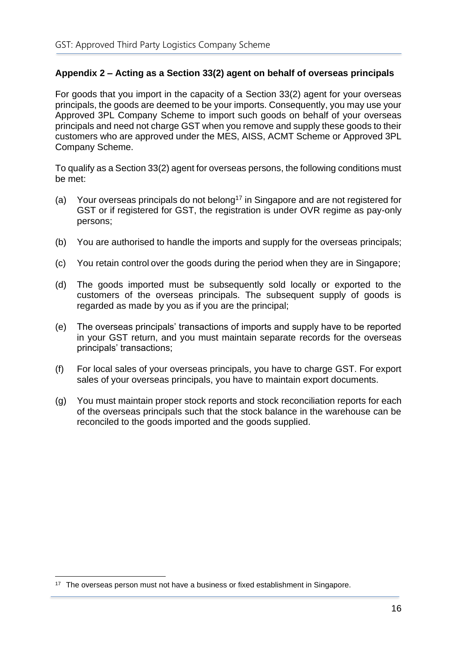# <span id="page-18-0"></span>**Appendix 2 – Acting as a Section 33(2) agent on behalf of overseas principals**

For goods that you import in the capacity of a Section 33(2) agent for your overseas principals, the goods are deemed to be your imports. Consequently, you may use your Approved 3PL Company Scheme to import such goods on behalf of your overseas principals and need not charge GST when you remove and supply these goods to their customers who are approved under the MES, AISS, ACMT Scheme or Approved 3PL Company Scheme.

To qualify as a Section 33(2) agent for overseas persons, the following conditions must be met:

- (a) Your overseas principals do not belong<sup>17</sup> in Singapore and are not registered for GST or if registered for GST, the registration is under OVR regime as pay-only persons;
- (b) You are authorised to handle the imports and supply for the overseas principals;
- (c) You retain control over the goods during the period when they are in Singapore;
- (d) The goods imported must be subsequently sold locally or exported to the customers of the overseas principals. The subsequent supply of goods is regarded as made by you as if you are the principal;
- (e) The overseas principals' transactions of imports and supply have to be reported in your GST return, and you must maintain separate records for the overseas principals' transactions;
- (f) For local sales of your overseas principals, you have to charge GST. For export sales of your overseas principals, you have to maintain export documents.
- (g) You must maintain proper stock reports and stock reconciliation reports for each of the overseas principals such that the stock balance in the warehouse can be reconciled to the goods imported and the goods supplied.

<sup>&</sup>lt;sup>17</sup> The overseas person must not have a business or fixed establishment in Singapore.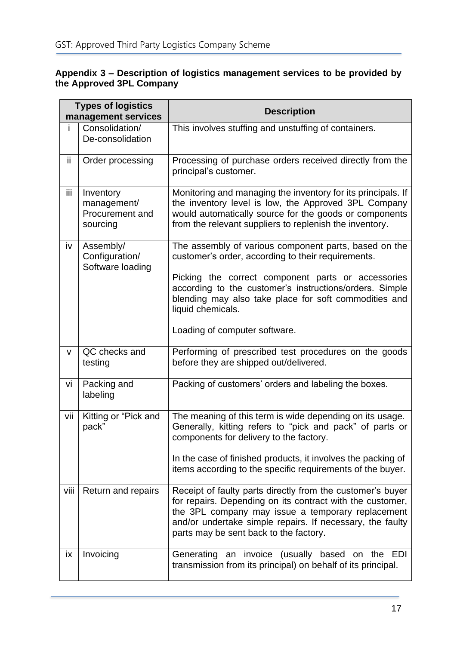#### <span id="page-19-0"></span>**Appendix 3 – Description of logistics management services to be provided by the Approved 3PL Company**

| <b>Types of logistics</b><br>management services |                                                         | <b>Description</b>                                                                                                                                                                                                                                                                                                                          |  |  |
|--------------------------------------------------|---------------------------------------------------------|---------------------------------------------------------------------------------------------------------------------------------------------------------------------------------------------------------------------------------------------------------------------------------------------------------------------------------------------|--|--|
| i.                                               | Consolidation/<br>De-consolidation                      | This involves stuffing and unstuffing of containers.                                                                                                                                                                                                                                                                                        |  |  |
| ij.                                              | Order processing                                        | Processing of purchase orders received directly from the<br>principal's customer.                                                                                                                                                                                                                                                           |  |  |
| iii                                              | Inventory<br>management/<br>Procurement and<br>sourcing | Monitoring and managing the inventory for its principals. If<br>the inventory level is low, the Approved 3PL Company<br>would automatically source for the goods or components<br>from the relevant suppliers to replenish the inventory.                                                                                                   |  |  |
| iv                                               | Assembly/<br>Configuration/<br>Software loading         | The assembly of various component parts, based on the<br>customer's order, according to their requirements.<br>Picking the correct component parts or accessories<br>according to the customer's instructions/orders. Simple<br>blending may also take place for soft commodities and<br>liquid chemicals.<br>Loading of computer software. |  |  |
| $\mathsf{V}$                                     | QC checks and<br>testing                                | Performing of prescribed test procedures on the goods<br>before they are shipped out/delivered.                                                                                                                                                                                                                                             |  |  |
| vi                                               | Packing and<br>labeling                                 | Packing of customers' orders and labeling the boxes.                                                                                                                                                                                                                                                                                        |  |  |
| vii                                              | Kitting or "Pick and<br>pack"                           | The meaning of this term is wide depending on its usage.<br>Generally, kitting refers to "pick and pack" of parts or<br>components for delivery to the factory.<br>In the case of finished products, it involves the packing of<br>items according to the specific requirements of the buyer.                                               |  |  |
| viii                                             | Return and repairs                                      | Receipt of faulty parts directly from the customer's buyer<br>for repairs. Depending on its contract with the customer,<br>the 3PL company may issue a temporary replacement<br>and/or undertake simple repairs. If necessary, the faulty<br>parts may be sent back to the factory.                                                         |  |  |
| iх.                                              | Invoicing                                               | Generating an invoice (usually based on the<br>EDI<br>transmission from its principal) on behalf of its principal.                                                                                                                                                                                                                          |  |  |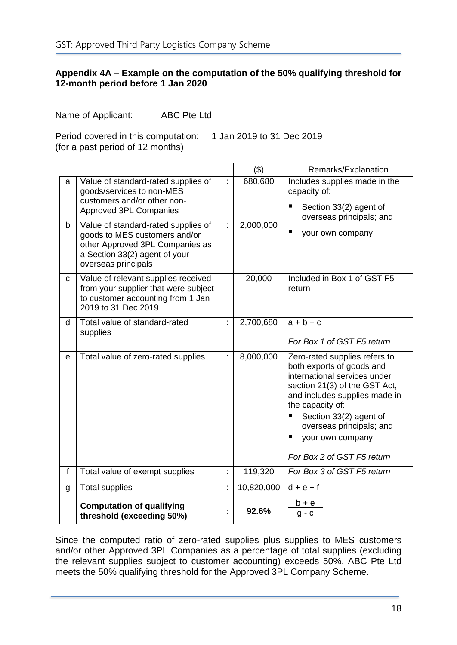#### <span id="page-20-0"></span>**Appendix 4A – Example on the computation of the 50% qualifying threshold for 12-month period before 1 Jan 2020**

Name of Applicant: ABC Pte Ltd

Period covered in this computation: 1 Jan 2019 to 31 Dec 2019 (for a past period of 12 months)

|             |                                                                                                                                                                 |    | (3)        | Remarks/Explanation                                                                                                                                                                                                                                                                      |
|-------------|-----------------------------------------------------------------------------------------------------------------------------------------------------------------|----|------------|------------------------------------------------------------------------------------------------------------------------------------------------------------------------------------------------------------------------------------------------------------------------------------------|
| a           | Value of standard-rated supplies of<br>goods/services to non-MES<br>customers and/or other non-<br><b>Approved 3PL Companies</b>                                |    | 680,680    | Includes supplies made in the<br>capacity of:<br>Section 33(2) agent of<br>overseas principals; and                                                                                                                                                                                      |
| b           | Value of standard-rated supplies of<br>goods to MES customers and/or<br>other Approved 3PL Companies as<br>a Section 33(2) agent of your<br>overseas principals | ÷  | 2,000,000  | your own company                                                                                                                                                                                                                                                                         |
| $\mathbf C$ | Value of relevant supplies received<br>from your supplier that were subject<br>to customer accounting from 1 Jan<br>2019 to 31 Dec 2019                         |    | 20,000     | Included in Box 1 of GST F5<br>return                                                                                                                                                                                                                                                    |
| d           | Total value of standard-rated<br>supplies                                                                                                                       | ł. | 2,700,680  | $a + b + c$<br>For Box 1 of GST F5 return                                                                                                                                                                                                                                                |
| e           | Total value of zero-rated supplies                                                                                                                              | t, | 8,000,000  | Zero-rated supplies refers to<br>both exports of goods and<br>international services under<br>section 21(3) of the GST Act,<br>and includes supplies made in<br>the capacity of:<br>Section 33(2) agent of<br>overseas principals; and<br>your own company<br>For Box 2 of GST F5 return |
| f           | Total value of exempt supplies                                                                                                                                  | t  | 119,320    | For Box 3 of GST F5 return                                                                                                                                                                                                                                                               |
| g           | <b>Total supplies</b>                                                                                                                                           | ċ  | 10,820,000 | $d + e + f$                                                                                                                                                                                                                                                                              |
|             | <b>Computation of qualifying</b><br>threshold (exceeding 50%)                                                                                                   |    | 92.6%      | $b + e$<br>$g - c$                                                                                                                                                                                                                                                                       |

Since the computed ratio of zero-rated supplies plus supplies to MES customers and/or other Approved 3PL Companies as a percentage of total supplies (excluding the relevant supplies subject to customer accounting) exceeds 50%, ABC Pte Ltd meets the 50% qualifying threshold for the Approved 3PL Company Scheme.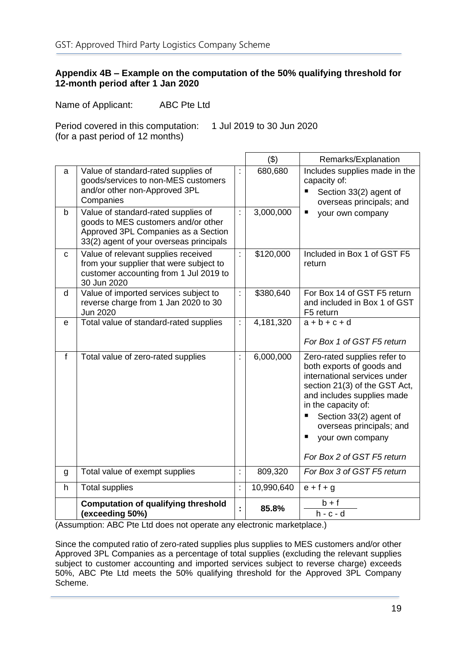#### <span id="page-21-0"></span>**Appendix 4B – Example on the computation of the 50% qualifying threshold for 12-month period after 1 Jan 2020**

Name of Applicant: ABC Pte Ltd

Period covered in this computation: 1 Jul 2019 to 30 Jun 2020 (for a past period of 12 months)

|              |                                                                                                                                                              |                      | (3)        | Remarks/Explanation                                                                                                                                                                                                                                                                               |
|--------------|--------------------------------------------------------------------------------------------------------------------------------------------------------------|----------------------|------------|---------------------------------------------------------------------------------------------------------------------------------------------------------------------------------------------------------------------------------------------------------------------------------------------------|
| a            | Value of standard-rated supplies of<br>goods/services to non-MES customers<br>and/or other non-Approved 3PL<br>Companies                                     | ÷,                   | 680,680    | Includes supplies made in the<br>capacity of:<br>$\blacksquare$<br>Section 33(2) agent of<br>overseas principals; and                                                                                                                                                                             |
| b            | Value of standard-rated supplies of<br>goods to MES customers and/or other<br>Approved 3PL Companies as a Section<br>33(2) agent of your overseas principals | $\ddot{\cdot}$       | 3,000,000  | п<br>your own company                                                                                                                                                                                                                                                                             |
| C            | Value of relevant supplies received<br>from your supplier that were subject to<br>customer accounting from 1 Jul 2019 to<br>30 Jun 2020                      | ł.                   | \$120,000  | Included in Box 1 of GST F5<br>return                                                                                                                                                                                                                                                             |
| d            | Value of imported services subject to<br>reverse charge from 1 Jan 2020 to 30<br>Jun 2020                                                                    | ÷,                   | \$380,640  | For Box 14 of GST F5 return<br>and included in Box 1 of GST<br>F5 return                                                                                                                                                                                                                          |
| e            | Total value of standard-rated supplies                                                                                                                       | ł.                   | 4,181,320  | $a + b + c + d$<br>For Box 1 of GST F5 return                                                                                                                                                                                                                                                     |
| $\mathbf{f}$ | Total value of zero-rated supplies                                                                                                                           | $\ddot{\phantom{a}}$ | 6,000,000  | Zero-rated supplies refer to<br>both exports of goods and<br>international services under<br>section 21(3) of the GST Act,<br>and includes supplies made<br>in the capacity of:<br>П<br>Section 33(2) agent of<br>overseas principals; and<br>ш<br>your own company<br>For Box 2 of GST F5 return |
| g            | Total value of exempt supplies                                                                                                                               | t,                   | 809,320    | For Box 3 of GST F5 return                                                                                                                                                                                                                                                                        |
| h            | <b>Total supplies</b>                                                                                                                                        | ÷,                   | 10,990,640 | $e + f + g$                                                                                                                                                                                                                                                                                       |
|              | <b>Computation of qualifying threshold</b><br>(exceeding 50%)                                                                                                | ÷                    | 85.8%      | $b + f$<br>$h - c - d$                                                                                                                                                                                                                                                                            |

(Assumption: ABC Pte Ltd does not operate any electronic marketplace.)

Since the computed ratio of zero-rated supplies plus supplies to MES customers and/or other Approved 3PL Companies as a percentage of total supplies (excluding the relevant supplies subject to customer accounting and imported services subject to reverse charge) exceeds 50%, ABC Pte Ltd meets the 50% qualifying threshold for the Approved 3PL Company Scheme.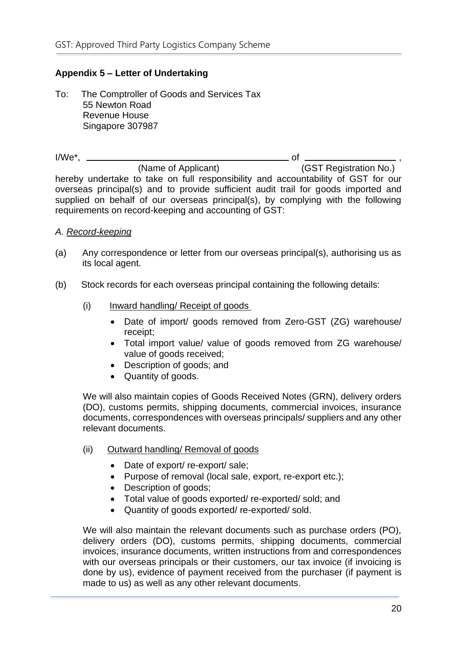# <span id="page-22-0"></span>**Appendix 5 – Letter of Undertaking**

To: The Comptroller of Goods and Services Tax 55 Newton Road Revenue House Singapore 307987

 $I/We^*$ ,  $\qquad \qquad$  of  $\qquad \qquad$  (Name of Applicant)  $\qquad \qquad$  (G (GST Registration No.) hereby undertake to take on full responsibility and accountability of GST for our overseas principal(s) and to provide sufficient audit trail for goods imported and supplied on behalf of our overseas principal(s), by complying with the following requirements on record-keeping and accounting of GST:

#### *A. Record-keeping*

- (a) Any correspondence or letter from our overseas principal(s), authorising us as its local agent.
- (b) Stock records for each overseas principal containing the following details:
	- (i) Inward handling/ Receipt of goods
		- Date of import/ goods removed from Zero-GST (ZG) warehouse/ receipt;
		- Total import value/ value of goods removed from ZG warehouse/ value of goods received;
		- Description of goods; and
		- Quantity of goods.

We will also maintain copies of Goods Received Notes (GRN), delivery orders (DO), customs permits, shipping documents, commercial invoices, insurance documents, correspondences with overseas principals/ suppliers and any other relevant documents.

- (ii) Outward handling/ Removal of goods
	- Date of export/ re-export/ sale;
	- Purpose of removal (local sale, export, re-export etc.);
	- Description of goods;
	- Total value of goods exported/ re-exported/ sold; and
	- Quantity of goods exported/ re-exported/ sold.

We will also maintain the relevant documents such as purchase orders (PO), delivery orders (DO), customs permits, shipping documents, commercial invoices, insurance documents, written instructions from and correspondences with our overseas principals or their customers, our tax invoice (if invoicing is done by us), evidence of payment received from the purchaser (if payment is made to us) as well as any other relevant documents.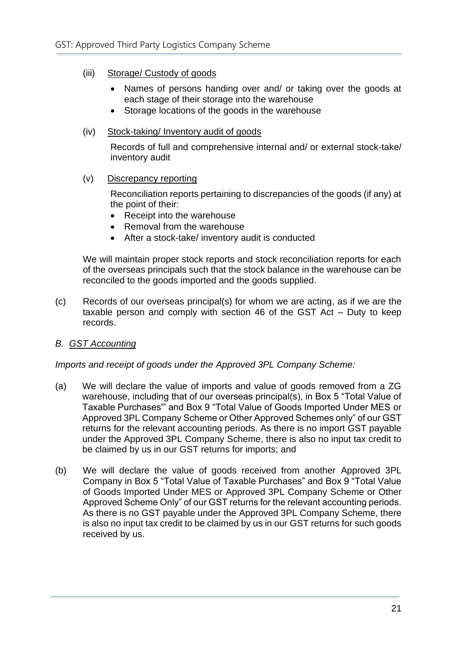- (iii) Storage/ Custody of goods
	- Names of persons handing over and/ or taking over the goods at each stage of their storage into the warehouse
	- Storage locations of the goods in the warehouse

#### (iv) Stock-taking/ Inventory audit of goods

Records of full and comprehensive internal and/ or external stock-take/ inventory audit

(v) Discrepancy reporting

Reconciliation reports pertaining to discrepancies of the goods (if any) at the point of their:

- Receipt into the warehouse
- Removal from the warehouse
- After a stock-take/ inventory audit is conducted

We will maintain proper stock reports and stock reconciliation reports for each of the overseas principals such that the stock balance in the warehouse can be reconciled to the goods imported and the goods supplied.

(c) Records of our overseas principal(s) for whom we are acting, as if we are the taxable person and comply with section 46 of the GST Act – Duty to keep records.

# *B. GST Accounting*

*Imports and receipt of goods under the Approved 3PL Company Scheme:*

- (a) We will declare the value of imports and value of goods removed from a ZG warehouse, including that of our overseas principal(s), in Box 5 "Total Value of Taxable Purchases'" and Box 9 "Total Value of Goods Imported Under MES or Approved 3PL Company Scheme or Other Approved Schemes only" of our GST returns for the relevant accounting periods. As there is no import GST payable under the Approved 3PL Company Scheme, there is also no input tax credit to be claimed by us in our GST returns for imports; and
- (b) We will declare the value of goods received from another Approved 3PL Company in Box 5 "Total Value of Taxable Purchases" and Box 9 "Total Value of Goods Imported Under MES or Approved 3PL Company Scheme or Other Approved Scheme Only" of our GST returns for the relevant accounting periods. As there is no GST payable under the Approved 3PL Company Scheme, there is also no input tax credit to be claimed by us in our GST returns for such goods received by us.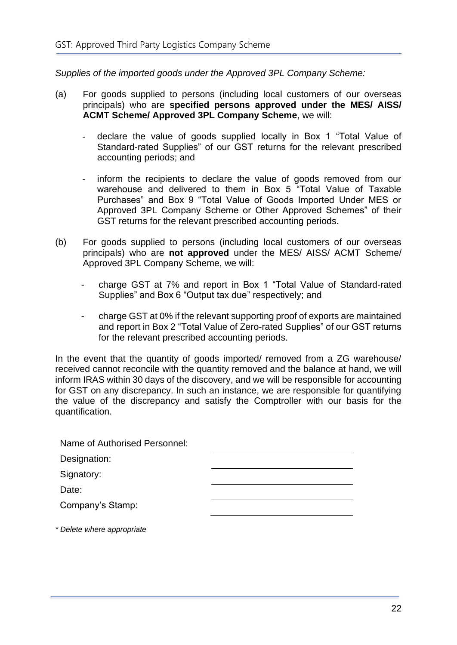*Supplies of the imported goods under the Approved 3PL Company Scheme:*

- (a) For goods supplied to persons (including local customers of our overseas principals) who are **specified persons approved under the MES/ AISS/ ACMT Scheme/ Approved 3PL Company Scheme**, we will:
	- declare the value of goods supplied locally in Box 1 "Total Value of Standard-rated Supplies" of our GST returns for the relevant prescribed accounting periods; and
	- inform the recipients to declare the value of goods removed from our warehouse and delivered to them in Box 5 "Total Value of Taxable Purchases" and Box 9 "Total Value of Goods Imported Under MES or Approved 3PL Company Scheme or Other Approved Schemes" of their GST returns for the relevant prescribed accounting periods.
- (b) For goods supplied to persons (including local customers of our overseas principals) who are **not approved** under the MES/ AISS/ ACMT Scheme/ Approved 3PL Company Scheme, we will:
	- charge GST at 7% and report in Box 1 "Total Value of Standard-rated Supplies" and Box 6 "Output tax due" respectively; and
	- charge GST at 0% if the relevant supporting proof of exports are maintained and report in Box 2 "Total Value of Zero-rated Supplies" of our GST returns for the relevant prescribed accounting periods.

In the event that the quantity of goods imported/ removed from a ZG warehouse/ received cannot reconcile with the quantity removed and the balance at hand, we will inform IRAS within 30 days of the discovery, and we will be responsible for accounting for GST on any discrepancy. In such an instance, we are responsible for quantifying the value of the discrepancy and satisfy the Comptroller with our basis for the quantification.

| Name of Authorised Personnel: |  |  |  |
|-------------------------------|--|--|--|
| Designation:                  |  |  |  |
| Signatory:                    |  |  |  |
| Date:                         |  |  |  |
| Company's Stamp:              |  |  |  |
| * Delete where appropriate    |  |  |  |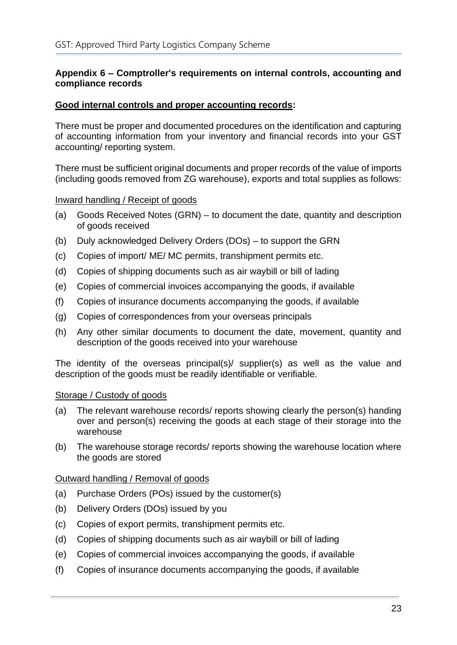#### <span id="page-25-0"></span>**Appendix 6 – Comptroller's requirements on internal controls, accounting and compliance records**

#### **Good internal controls and proper accounting records:**

There must be proper and documented procedures on the identification and capturing of accounting information from your inventory and financial records into your GST accounting/ reporting system.

There must be sufficient original documents and proper records of the value of imports (including goods removed from ZG warehouse), exports and total supplies as follows:

#### Inward handling / Receipt of goods

- (a) Goods Received Notes (GRN) to document the date, quantity and description of goods received
- (b) Duly acknowledged Delivery Orders (DOs) to support the GRN
- (c) Copies of import/ ME/ MC permits, transhipment permits etc.
- (d) Copies of shipping documents such as air waybill or bill of lading
- (e) Copies of commercial invoices accompanying the goods, if available
- (f) Copies of insurance documents accompanying the goods, if available
- (g) Copies of correspondences from your overseas principals
- (h) Any other similar documents to document the date, movement, quantity and description of the goods received into your warehouse

The identity of the overseas principal(s)/ supplier(s) as well as the value and description of the goods must be readily identifiable or verifiable.

#### Storage / Custody of goods

- (a) The relevant warehouse records/ reports showing clearly the person(s) handing over and person(s) receiving the goods at each stage of their storage into the warehouse
- (b) The warehouse storage records/ reports showing the warehouse location where the goods are stored

#### Outward handling / Removal of goods

- (a) Purchase Orders (POs) issued by the customer(s)
- (b) Delivery Orders (DOs) issued by you
- (c) Copies of export permits, transhipment permits etc.
- (d) Copies of shipping documents such as air waybill or bill of lading
- (e) Copies of commercial invoices accompanying the goods, if available
- (f) Copies of insurance documents accompanying the goods, if available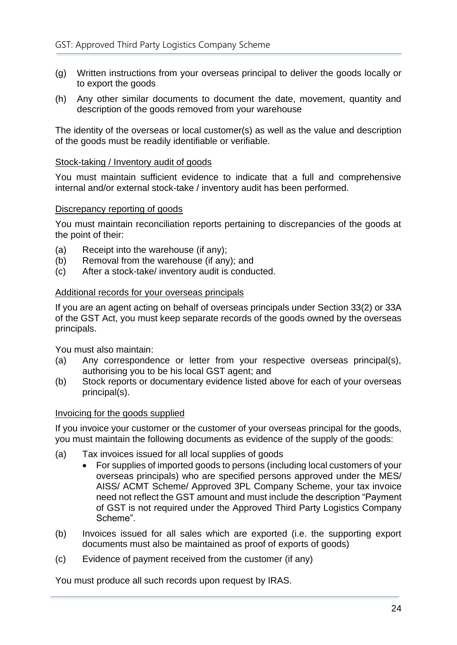- (g) Written instructions from your overseas principal to deliver the goods locally or to export the goods
- (h) Any other similar documents to document the date, movement, quantity and description of the goods removed from your warehouse

The identity of the overseas or local customer(s) as well as the value and description of the goods must be readily identifiable or verifiable.

#### Stock-taking / Inventory audit of goods

You must maintain sufficient evidence to indicate that a full and comprehensive internal and/or external stock-take / inventory audit has been performed.

#### Discrepancy reporting of goods

You must maintain reconciliation reports pertaining to discrepancies of the goods at the point of their:

- (a) Receipt into the warehouse (if any);
- (b) Removal from the warehouse (if any); and
- (c) After a stock-take/ inventory audit is conducted.

#### Additional records for your overseas principals

If you are an agent acting on behalf of overseas principals under Section 33(2) or 33A of the GST Act, you must keep separate records of the goods owned by the overseas principals.

You must also maintain:

- (a) Any correspondence or letter from your respective overseas principal(s), authorising you to be his local GST agent; and
- (b) Stock reports or documentary evidence listed above for each of your overseas principal(s).

#### Invoicing for the goods supplied

If you invoice your customer or the customer of your overseas principal for the goods, you must maintain the following documents as evidence of the supply of the goods:

- (a) Tax invoices issued for all local supplies of goods
	- For supplies of imported goods to persons (including local customers of your overseas principals) who are specified persons approved under the MES/ AISS/ ACMT Scheme/ Approved 3PL Company Scheme, your tax invoice need not reflect the GST amount and must include the description "Payment of GST is not required under the Approved Third Party Logistics Company Scheme".
- (b) Invoices issued for all sales which are exported (i.e. the supporting export documents must also be maintained as proof of exports of goods)
- (c) Evidence of payment received from the customer (if any)

<span id="page-26-0"></span>You must produce all such records upon request by IRAS.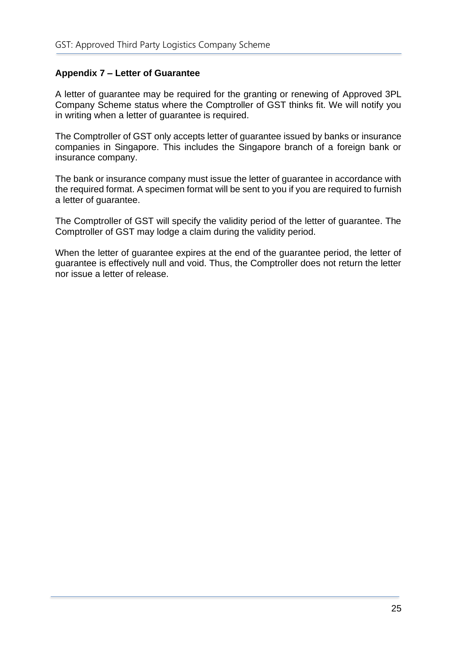# <span id="page-27-0"></span>**Appendix 7 – Letter of Guarantee**

A letter of guarantee may be required for the granting or renewing of Approved 3PL Company Scheme status where the Comptroller of GST thinks fit. We will notify you in writing when a letter of guarantee is required.

The Comptroller of GST only accepts letter of guarantee issued by banks or insurance companies in Singapore. This includes the Singapore branch of a foreign bank or insurance company.

The bank or insurance company must issue the letter of guarantee in accordance with the required format. A specimen format will be sent to you if you are required to furnish a letter of guarantee.

The Comptroller of GST will specify the validity period of the letter of guarantee. The Comptroller of GST may lodge a claim during the validity period.

When the letter of guarantee expires at the end of the guarantee period, the letter of guarantee is effectively null and void. Thus, the Comptroller does not return the letter nor issue a letter of release.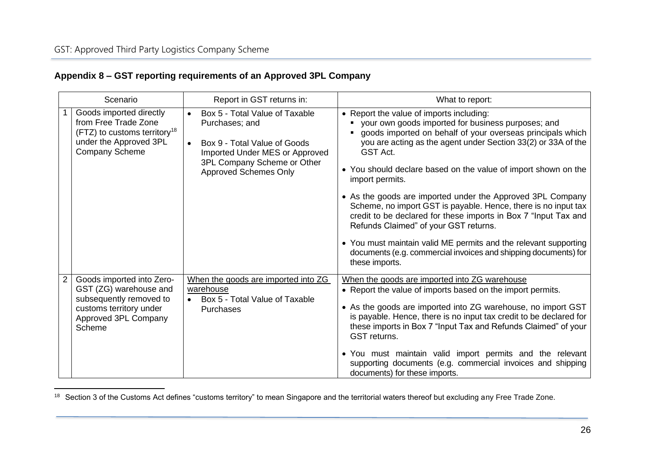|  |  | Appendix 8 – GST reporting requirements of an Approved 3PL Company |  |
|--|--|--------------------------------------------------------------------|--|
|--|--|--------------------------------------------------------------------|--|

| Scenario |                                                                                                                                                | Report in GST returns in:                                                                                                                                                                                   | What to report:                                                                                                                                                                                                                                                                                                                                                                                                                                                                                                                                                                                                                                                                                                                     |
|----------|------------------------------------------------------------------------------------------------------------------------------------------------|-------------------------------------------------------------------------------------------------------------------------------------------------------------------------------------------------------------|-------------------------------------------------------------------------------------------------------------------------------------------------------------------------------------------------------------------------------------------------------------------------------------------------------------------------------------------------------------------------------------------------------------------------------------------------------------------------------------------------------------------------------------------------------------------------------------------------------------------------------------------------------------------------------------------------------------------------------------|
|          | Goods imported directly<br>from Free Trade Zone<br>(FTZ) to customs territory <sup>18</sup><br>under the Approved 3PL<br><b>Company Scheme</b> | Box 5 - Total Value of Taxable<br>$\bullet$<br>Purchases; and<br>Box 9 - Total Value of Goods<br>$\bullet$<br>Imported Under MES or Approved<br>3PL Company Scheme or Other<br><b>Approved Schemes Only</b> | • Report the value of imports including:<br>your own goods imported for business purposes; and<br>goods imported on behalf of your overseas principals which<br>you are acting as the agent under Section 33(2) or 33A of the<br>GST Act.<br>• You should declare based on the value of import shown on the<br>import permits.<br>• As the goods are imported under the Approved 3PL Company<br>Scheme, no import GST is payable. Hence, there is no input tax<br>credit to be declared for these imports in Box 7 "Input Tax and<br>Refunds Claimed" of your GST returns.<br>• You must maintain valid ME permits and the relevant supporting<br>documents (e.g. commercial invoices and shipping documents) for<br>these imports. |
| 2        | Goods imported into Zero-<br>GST (ZG) warehouse and<br>subsequently removed to<br>customs territory under<br>Approved 3PL Company<br>Scheme    | When the goods are imported into ZG<br>warehouse<br>Box 5 - Total Value of Taxable<br>$\bullet$<br>Purchases                                                                                                | When the goods are imported into ZG warehouse<br>• Report the value of imports based on the import permits.<br>• As the goods are imported into ZG warehouse, no import GST<br>is payable. Hence, there is no input tax credit to be declared for<br>these imports in Box 7 "Input Tax and Refunds Claimed" of your<br><b>GST</b> returns.<br>• You must maintain valid import permits and the relevant<br>supporting documents (e.g. commercial invoices and shipping<br>documents) for these imports.                                                                                                                                                                                                                             |

<span id="page-28-0"></span><sup>&</sup>lt;sup>18</sup> Section 3 of the Customs Act defines "customs territory" to mean Singapore and the territorial waters thereof but excluding any Free Trade Zone.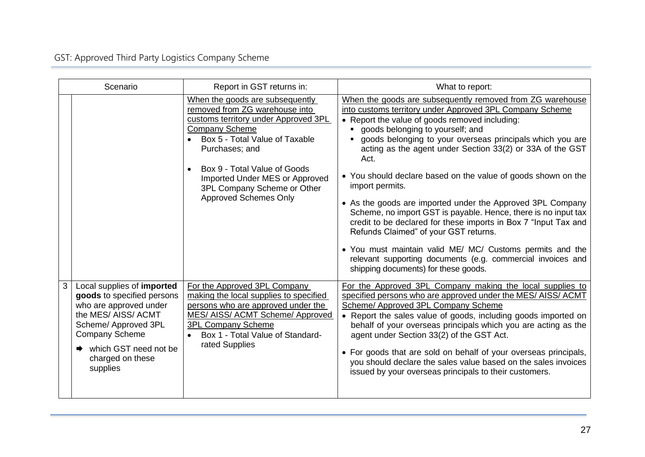# GST: Approved Third Party Logistics Company Scheme

| Scenario                                                                                                                                                                                                               | Report in GST returns in:                                                                                                                                                                                                                                                                                               | What to report:                                                                                                                                                                                                                                                                                                                                                                                                                                                                                                                                                                                                                                                                                                                                                                                                                                   |  |
|------------------------------------------------------------------------------------------------------------------------------------------------------------------------------------------------------------------------|-------------------------------------------------------------------------------------------------------------------------------------------------------------------------------------------------------------------------------------------------------------------------------------------------------------------------|---------------------------------------------------------------------------------------------------------------------------------------------------------------------------------------------------------------------------------------------------------------------------------------------------------------------------------------------------------------------------------------------------------------------------------------------------------------------------------------------------------------------------------------------------------------------------------------------------------------------------------------------------------------------------------------------------------------------------------------------------------------------------------------------------------------------------------------------------|--|
|                                                                                                                                                                                                                        | When the goods are subsequently<br>removed from ZG warehouse into<br>customs territory under Approved 3PL<br><b>Company Scheme</b><br>Box 5 - Total Value of Taxable<br>Purchases; and<br>Box 9 - Total Value of Goods<br>Imported Under MES or Approved<br>3PL Company Scheme or Other<br><b>Approved Schemes Only</b> | When the goods are subsequently removed from ZG warehouse<br>into customs territory under Approved 3PL Company Scheme<br>• Report the value of goods removed including:<br>goods belonging to yourself; and<br>goods belonging to your overseas principals which you are<br>acting as the agent under Section 33(2) or 33A of the GST<br>Act.<br>• You should declare based on the value of goods shown on the<br>import permits.<br>• As the goods are imported under the Approved 3PL Company<br>Scheme, no import GST is payable. Hence, there is no input tax<br>credit to be declared for these imports in Box 7 "Input Tax and<br>Refunds Claimed" of your GST returns.<br>. You must maintain valid ME/ MC/ Customs permits and the<br>relevant supporting documents (e.g. commercial invoices and<br>shipping documents) for these goods. |  |
| 3<br>Local supplies of imported<br>goods to specified persons<br>who are approved under<br>the MES/AISS/ACMT<br>Scheme/ Approved 3PL<br><b>Company Scheme</b><br>which GST need not be<br>charged on these<br>supplies | For the Approved 3PL Company<br>making the local supplies to specified<br>persons who are approved under the<br><b>MES/ AISS/ ACMT Scheme/ Approved</b><br><b>3PL Company Scheme</b><br>Box 1 - Total Value of Standard-<br>rated Supplies                                                                              | For the Approved 3PL Company making the local supplies to<br>specified persons who are approved under the MES/AISS/ACMT<br>Scheme/ Approved 3PL Company Scheme<br>• Report the sales value of goods, including goods imported on<br>behalf of your overseas principals which you are acting as the<br>agent under Section 33(2) of the GST Act.<br>• For goods that are sold on behalf of your overseas principals,<br>you should declare the sales value based on the sales invoices<br>issued by your overseas principals to their customers.                                                                                                                                                                                                                                                                                                   |  |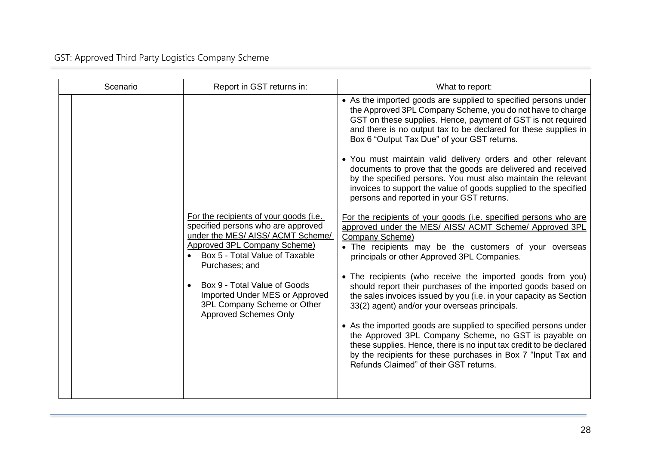| Scenario | Report in GST returns in:                                                                                                                                                                             | What to report:                                                                                                                                                                                                                                                                                                 |
|----------|-------------------------------------------------------------------------------------------------------------------------------------------------------------------------------------------------------|-----------------------------------------------------------------------------------------------------------------------------------------------------------------------------------------------------------------------------------------------------------------------------------------------------------------|
|          |                                                                                                                                                                                                       | • As the imported goods are supplied to specified persons under<br>the Approved 3PL Company Scheme, you do not have to charge<br>GST on these supplies. Hence, payment of GST is not required<br>and there is no output tax to be declared for these supplies in<br>Box 6 "Output Tax Due" of your GST returns. |
|          |                                                                                                                                                                                                       | • You must maintain valid delivery orders and other relevant<br>documents to prove that the goods are delivered and received<br>by the specified persons. You must also maintain the relevant<br>invoices to support the value of goods supplied to the specified<br>persons and reported in your GST returns.  |
|          | For the recipients of your goods (i.e.<br>specified persons who are approved<br>under the MES/ AISS/ ACMT Scheme/<br>Approved 3PL Company Scheme)<br>Box 5 - Total Value of Taxable<br>Purchases; and | For the recipients of your goods (i.e. specified persons who are<br>approved under the MES/ AISS/ ACMT Scheme/ Approved 3PL<br>Company Scheme)<br>• The recipients may be the customers of your overseas<br>principals or other Approved 3PL Companies.                                                         |
|          | Box 9 - Total Value of Goods<br>Imported Under MES or Approved<br>3PL Company Scheme or Other<br><b>Approved Schemes Only</b>                                                                         | • The recipients (who receive the imported goods from you)<br>should report their purchases of the imported goods based on<br>the sales invoices issued by you (i.e. in your capacity as Section<br>33(2) agent) and/or your overseas principals.                                                               |
|          |                                                                                                                                                                                                       | • As the imported goods are supplied to specified persons under<br>the Approved 3PL Company Scheme, no GST is payable on<br>these supplies. Hence, there is no input tax credit to be declared<br>by the recipients for these purchases in Box 7 "Input Tax and<br>Refunds Claimed" of their GST returns.       |
|          |                                                                                                                                                                                                       |                                                                                                                                                                                                                                                                                                                 |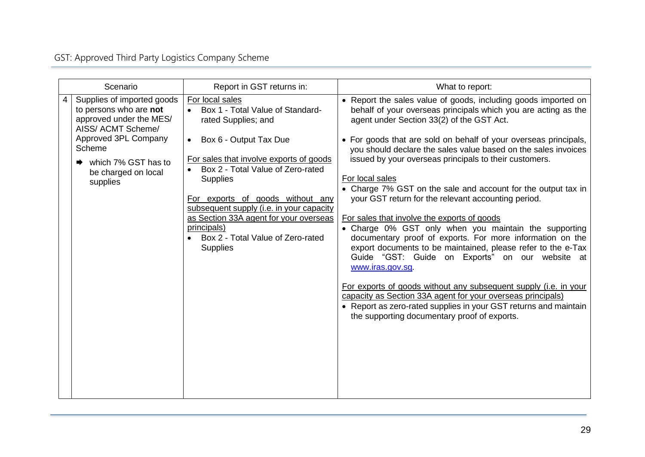# GST: Approved Third Party Logistics Company Scheme

| Scenario                                                                                                                      | Report in GST returns in:                                                                                     | What to report:                                                                                                                                                                                                                                                                                          |
|-------------------------------------------------------------------------------------------------------------------------------|---------------------------------------------------------------------------------------------------------------|----------------------------------------------------------------------------------------------------------------------------------------------------------------------------------------------------------------------------------------------------------------------------------------------------------|
| Supplies of imported goods<br>to persons who are not<br>approved under the MES/<br>AISS/ ACMT Scheme/<br>Approved 3PL Company | For local sales<br>Box 1 - Total Value of Standard-<br>rated Supplies; and                                    | • Report the sales value of goods, including goods imported on<br>behalf of your overseas principals which you are acting as the<br>agent under Section 33(2) of the GST Act.                                                                                                                            |
| Scheme<br>which 7% GST has to                                                                                                 | • Box 6 - Output Tax Due<br>For sales that involve exports of goods                                           | • For goods that are sold on behalf of your overseas principals,<br>you should declare the sales value based on the sales invoices<br>issued by your overseas principals to their customers.                                                                                                             |
| be charged on local<br>supplies                                                                                               | • Box 2 - Total Value of Zero-rated<br><b>Supplies</b>                                                        | For local sales<br>• Charge 7% GST on the sale and account for the output tax in                                                                                                                                                                                                                         |
|                                                                                                                               | For exports of goods without any<br>subsequent supply (i.e. in your capacity                                  | your GST return for the relevant accounting period.                                                                                                                                                                                                                                                      |
|                                                                                                                               | as Section 33A agent for your overseas<br>principals)<br>Box 2 - Total Value of Zero-rated<br><b>Supplies</b> | For sales that involve the exports of goods<br>• Charge 0% GST only when you maintain the supporting<br>documentary proof of exports. For more information on the<br>export documents to be maintained, please refer to the e-Tax<br>Guide "GST: Guide on Exports" on our website at<br>www.iras.gov.sq. |
|                                                                                                                               |                                                                                                               | For exports of goods without any subsequent supply (i.e. in your<br>capacity as Section 33A agent for your overseas principals)<br>• Report as zero-rated supplies in your GST returns and maintain<br>the supporting documentary proof of exports.                                                      |
|                                                                                                                               |                                                                                                               |                                                                                                                                                                                                                                                                                                          |
|                                                                                                                               |                                                                                                               |                                                                                                                                                                                                                                                                                                          |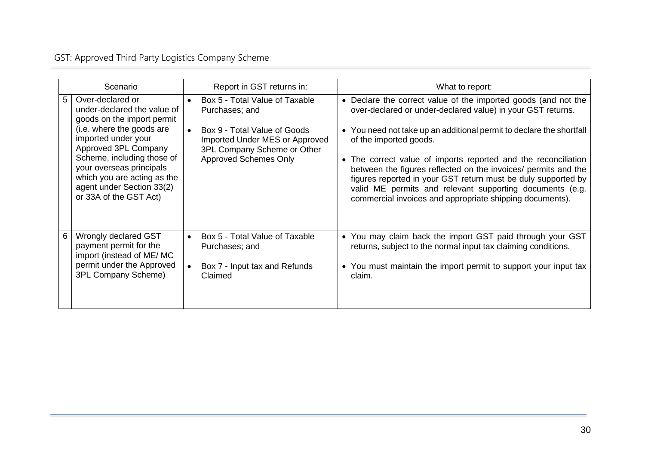# GST: Approved Third Party Logistics Company Scheme

| Scenario                                                                                                                                                             | Report in GST returns in:                                                                                  | What to report:                                                                                                                                                                                                                                                                                                                                     |
|----------------------------------------------------------------------------------------------------------------------------------------------------------------------|------------------------------------------------------------------------------------------------------------|-----------------------------------------------------------------------------------------------------------------------------------------------------------------------------------------------------------------------------------------------------------------------------------------------------------------------------------------------------|
| Over-declared or<br>5<br>under-declared the value of<br>goods on the import permit<br>(i.e. where the goods are<br>imported under your                               | Box 5 - Total Value of Taxable<br>$\bullet$<br>Purchases; and<br>Box 9 - Total Value of Goods<br>$\bullet$ | • Declare the correct value of the imported goods (and not the<br>over-declared or under-declared value) in your GST returns.<br>• You need not take up an additional permit to declare the shortfall                                                                                                                                               |
| Approved 3PL Company<br>Scheme, including those of<br>your overseas principals<br>which you are acting as the<br>agent under Section 33(2)<br>or 33A of the GST Act) | Imported Under MES or Approved<br>3PL Company Scheme or Other<br><b>Approved Schemes Only</b>              | of the imported goods.<br>• The correct value of imports reported and the reconciliation<br>between the figures reflected on the invoices/ permits and the<br>figures reported in your GST return must be duly supported by<br>valid ME permits and relevant supporting documents (e.g.<br>commercial invoices and appropriate shipping documents). |
| Wrongly declared GST<br>6<br>payment permit for the<br>import (instead of ME/MC<br>permit under the Approved<br>3PL Company Scheme)                                  | Box 5 - Total Value of Taxable<br>$\bullet$<br>Purchases; and<br>Box 7 - Input tax and Refunds<br>Claimed  | • You may claim back the import GST paid through your GST<br>returns, subject to the normal input tax claiming conditions.<br>• You must maintain the import permit to support your input tax<br>claim.                                                                                                                                             |